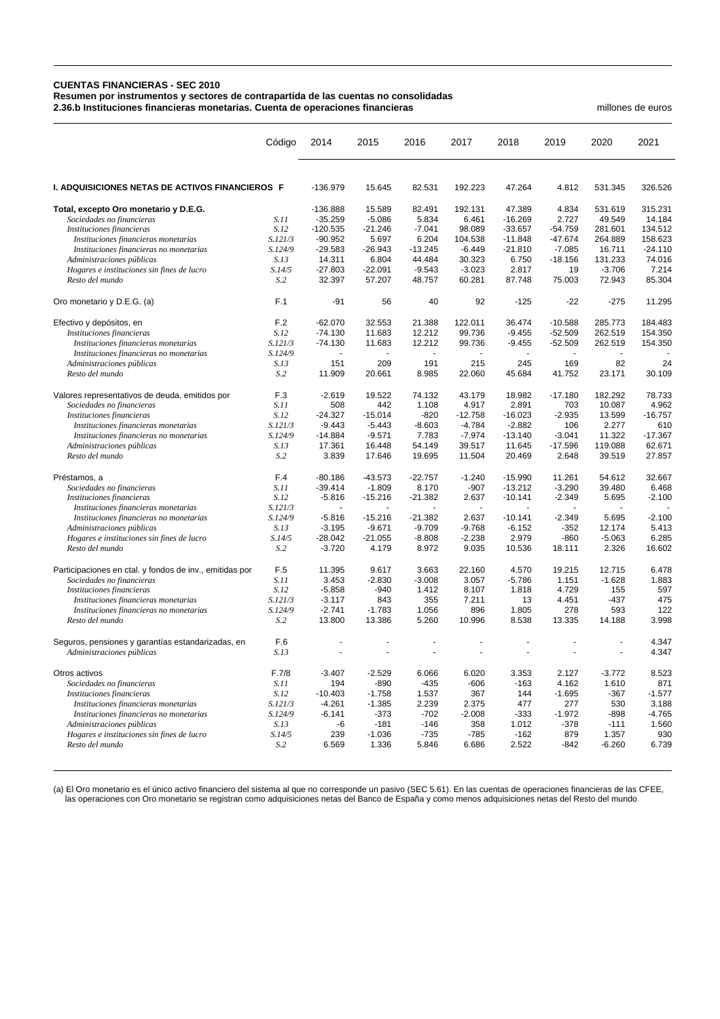## **CUENTAS FINANCIERAS - SEC 2010 Resumen por instrumentos y sectores de contrapartida de las cuentas no consolidadas**

**2.36.b Instituciones financieras monetarias. Cuenta de operaciones financieras** millones de euros

|                                                            | Código                    | 2014               | 2015               | 2016           | 2017          | 2018                     | 2019          | 2020                 | 2021         |
|------------------------------------------------------------|---------------------------|--------------------|--------------------|----------------|---------------|--------------------------|---------------|----------------------|--------------|
| <b>I. ADQUISICIONES NETAS DE ACTIVOS FINANCIEROS F</b>     |                           | -136.979           | 15.645             | 82.531         | 192.223       | 47.264                   | 4.812         | 531.345              | 326.526      |
| Total, excepto Oro monetario y D.E.G.                      |                           | $-136.888$         | 15.589             | 82.491         | 192.131       | 47.389                   | 4.834         | 531.619              | 315.231      |
| Sociedades no financieras                                  | S.11                      | $-35.259$          | $-5.086$           | 5.834          | 6.461         | $-16.269$                | 2.727         | 49.549               | 14.184       |
| Instituciones financieras                                  | S.12                      | $-120.535$         | $-21.246$          | $-7.041$       | 98.089        | $-33.657$                | $-54.759$     | 281.601              | 134.512      |
| Instituciones financieras monetarias                       | S.121/3                   | $-90.952$          | 5.697              | 6.204          | 104.538       | $-11.848$                | $-47.674$     | 264.889              | 158.623      |
| Instituciones financieras no monetarias                    | S.124/9                   | $-29.583$          | $-26.943$          | $-13.245$      | $-6.449$      | $-21.810$                | $-7.085$      | 16.711               | $-24.110$    |
| Administraciones públicas                                  | S.13                      | 14.311             | 6.804              | 44.484         | 30.323        | 6.750                    | $-18.156$     | 131.233              | 74.016       |
| Hogares e instituciones sin fines de lucro                 | S.14/5                    | $-27.803$          | $-22.091$          | $-9.543$       | $-3.023$      | 2.817                    | 19            | $-3.706$             | 7.214        |
| Resto del mundo                                            | S.2                       | 32.397             | 57.207             | 48.757         | 60.281        | 87.748                   | 75.003        | 72.943               | 85.304       |
| Oro monetario y D.E.G. (a)                                 | F.1                       | -91                | 56                 | 40             | 92            | $-125$                   | $-22$         | $-275$               | 11.295       |
| Efectivo y depósitos, en                                   | F.2                       | $-62.070$          | 32.553             | 21.388         | 122.011       | 36.474                   | $-10.588$     | 285.773              | 184.483      |
| Instituciones financieras                                  | S.12                      | $-74.130$          | 11.683             | 12.212         | 99.736        | $-9.455$                 | $-52.509$     | 262.519              | 154.350      |
| Instituciones financieras monetarias                       | S.121/3                   | $-74.130$          | 11.683             | 12.212         | 99.736        | $-9.455$                 | $-52.509$     | 262.519              | 154.350      |
| Instituciones financieras no monetarias                    | S.124/9                   | $\omega$           |                    | $\omega$       | $\mathbf{r}$  | $\overline{\phantom{a}}$ | ÷.            |                      |              |
| Administraciones públicas                                  | S.13                      | 151                | 209                | 191            | 215           | 245                      | 169           | 82                   | 24           |
| Resto del mundo                                            | S.2                       | 11.909             | 20.661             | 8.985          | 22.060        | 45.684                   | 41.752        | 23.171               | 30.109       |
| Valores representativos de deuda, emitidos por             | F.3                       | $-2.619$           | 19.522             | 74.132         | 43.179        | 18.982                   | $-17.180$     | 182.292              | 78.733       |
| Sociedades no financieras                                  | S.11                      | 508                | 442                | 1.108          | 4.917         | 2.891                    | 703           | 10.087               | 4.962        |
| Instituciones financieras                                  | S.12                      | $-24.327$          | $-15.014$          | $-820$         | $-12.758$     | $-16.023$                | $-2.935$      | 13.599               | $-16.757$    |
| Instituciones financieras monetarias                       | S.121/3                   | $-9.443$           | $-5.443$           | $-8.603$       | $-4.784$      | $-2.882$                 | 106           | 2.277                | 610          |
| Instituciones financieras no monetarias                    | S.124/9                   | $-14.884$          | $-9.571$           | 7.783          | $-7.974$      | $-13.140$                | $-3.041$      | 11.322               | $-17.367$    |
| Administraciones públicas                                  | S.13                      | 17.361             | 16.448             | 54.149         | 39.517        | 11.645                   | $-17.596$     | 119.088              | 62.671       |
| Resto del mundo                                            | S.2                       | 3.839              | 17.646             | 19.695         | 11.504        | 20.469                   | 2.648         | 39.519               | 27.857       |
| Préstamos, a                                               | F.4                       | $-80.186$          | $-43.573$          | $-22.757$      | $-1.240$      | $-15.990$                | 11.261        | 54.612               | 32.667       |
| Sociedades no financieras                                  | S.11                      | $-39.414$          | $-1.809$           | 8.170          | $-907$        | $-13.212$                | $-3.290$      | 39.480               | 6.468        |
| Instituciones financieras                                  | S.12                      | $-5.816$           | $-15.216$          | $-21.382$      | 2.637         | $-10.141$                | $-2.349$      | 5.695                | $-2.100$     |
| Instituciones financieras monetarias                       | S.121/3                   |                    |                    |                |               |                          |               |                      |              |
| Instituciones financieras no monetarias                    | S.124/9                   | $-5.816$           | $-15.216$          | $-21.382$      | 2.637         | $-10.141$                | $-2.349$      | 5.695                | $-2.100$     |
| Administraciones públicas                                  | S.13                      | $-3.195$           | $-9.671$           | $-9.709$       | $-9.768$      | $-6.152$                 | $-352$        | 12.174               | 5.413        |
| Hogares e instituciones sin fines de lucro                 | S.14/5                    | $-28.042$          | $-21.055$          | $-8.808$       | $-2.238$      | 2.979                    | $-860$        | $-5.063$             | 6.285        |
| Resto del mundo                                            | S.2                       | $-3.720$           | 4.179              | 8.972          | 9.035         | 10.536                   | 18.111        | 2.326                | 16.602       |
| Participaciones en ctal. y fondos de inv., emitidas por    | F.5                       | 11.395             | 9.617              | 3.663          | 22.160        | 4.570                    | 19.215        | 12.715               | 6.478        |
| Sociedades no financieras                                  | S.11                      | 3.453              | $-2.830$           | $-3.008$       | 3.057         | $-5.786$                 | 1.151         | $-1.628$             | 1.883        |
| Instituciones financieras                                  | S.12                      | $-5.858$           | $-940$             | 1.412          | 8.107         | 1.818                    | 4.729         | 155                  | 597          |
| Instituciones financieras monetarias                       | S.121/3                   | $-3.117$           | 843                | 355            | 7.211         | 13                       | 4.451         | $-437$               | 475          |
| Instituciones financieras no monetarias<br>Resto del mundo | S.124/9<br>S <sub>0</sub> | $-2.741$<br>13.800 | $-1.783$<br>13.386 | 1.056<br>5.260 | 896<br>10.996 | 1.805<br>8.538           | 278<br>13.335 | 593<br>14.188        | 122<br>3.998 |
|                                                            |                           |                    |                    |                |               |                          |               |                      |              |
| Seguros, pensiones y garantías estandarizadas, en          | F.6                       |                    |                    |                |               |                          |               |                      | 4.347        |
| Administraciones públicas                                  | S.13                      |                    |                    |                | ä,            |                          |               | $\ddot{\phantom{1}}$ | 4.347        |
| Otros activos                                              | F.7/8                     | $-3.407$           | $-2.529$           | 6.066          | 6.020         | 3.353                    | 2.127         | $-3.772$             | 8.523        |
| Sociedades no financieras                                  | S.11                      | 194                | $-890$             | $-435$         | $-606$        | $-163$                   | 4.162         | 1.610                | 871          |
| Instituciones financieras                                  | S.12                      | $-10.403$          | $-1.758$           | 1.537          | 367           | 144                      | $-1.695$      | $-367$               | $-1.577$     |
| Instituciones financieras monetarias                       | S.121/3                   | $-4.261$           | $-1.385$           | 2.239          | 2.375         | 477                      | 277           | 530                  | 3.188        |
| Instituciones financieras no monetarias                    | S.124/9                   | $-6.141$           | $-373$             | $-702$         | $-2.008$      | $-333$                   | $-1.972$      | -898                 | -4.765       |
| Administraciones públicas                                  | S.13                      | -6                 | $-181$             | $-146$         | 358           | 1.012                    | $-378$        | $-111$               | 1.560        |
| Hogares e instituciones sin fines de lucro                 | S.14/5                    | 239                | $-1.036$           | $-735$         | $-785$        | $-162$                   | 879           | 1.357                | 930          |
| Resto del mundo                                            | S.2                       | 6.569              | 1.336              | 5.846          | 6.686         | 2.522                    | $-842$        | $-6.260$             | 6.739        |

(a) El Oro monetario es el único activo financiero del sistema al que no corresponde un pasivo (SEC 5.61). En las cuentas de operaciones financieras de las CFEE, las operaciones con Oro monetario se registran como adquisiciones netas del Banco de España y como menos adquisiciones netas del Resto del mundo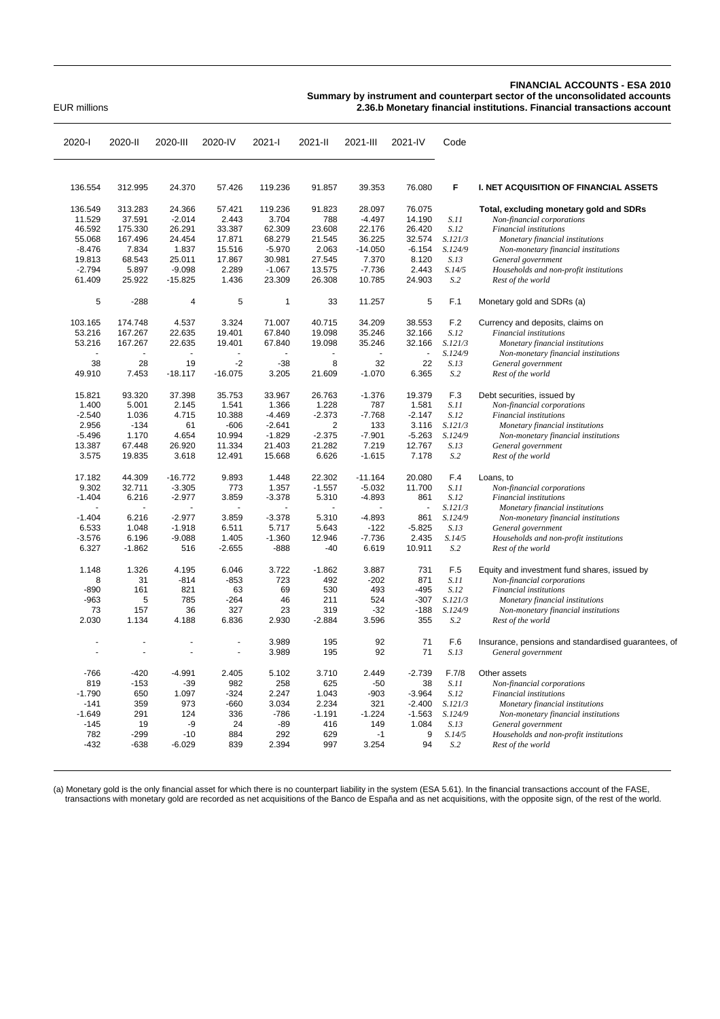## **FINANCIAL ACCOUNTS - ESA 2010**

**Summary by instrument and counterpart sector of the unconsolidated accounts** EUR millions **2.36.b Monetary financial institutions. Financial transactions account**

| 2020-l   | 2020-II              | 2020-III       | 2020-IV              | 2021-l       | 2021-II              | 2021-III  | 2021-IV  | Code    |                                                     |
|----------|----------------------|----------------|----------------------|--------------|----------------------|-----------|----------|---------|-----------------------------------------------------|
|          |                      |                |                      |              |                      |           |          |         |                                                     |
| 136.554  | 312.995              | 24.370         | 57.426               | 119.236      | 91.857               | 39.353    | 76.080   | F       | I. NET ACQUISITION OF FINANCIAL ASSETS              |
| 136.549  | 313.283              | 24.366         | 57.421               | 119.236      | 91.823               | 28.097    | 76.075   |         | Total, excluding monetary gold and SDRs             |
| 11.529   | 37.591               | $-2.014$       | 2.443                | 3.704        | 788                  | $-4.497$  | 14.190   | S.11    | Non-financial corporations                          |
| 46.592   | 175.330              | 26.291         | 33.387               | 62.309       | 23.608               | 22.176    | 26.420   | S.12    | Financial institutions                              |
| 55.068   | 167.496              | 24.454         | 17.871               | 68.279       | 21.545               | 36.225    | 32.574   | S.121/3 | Monetary financial institutions                     |
| $-8.476$ | 7.834                | 1.837          | 15.516               | $-5.970$     | 2.063                | $-14.050$ | $-6.154$ | S.124/9 | Non-monetary financial institutions                 |
| 19.813   | 68.543               | 25.011         | 17.867               | 30.981       | 27.545               | 7.370     | 8.120    | S.13    | General government                                  |
| $-2.794$ | 5.897                | $-9.098$       | 2.289                | $-1.067$     | 13.575               | $-7.736$  | 2.443    | S.14/5  | Households and non-profit institutions              |
| 61.409   | 25.922               | $-15.825$      | 1.436                | 23.309       | 26.308               | 10.785    | 24.903   | S.2     | Rest of the world                                   |
| 5        | $-288$               | $\overline{4}$ | 5                    | $\mathbf{1}$ | 33                   | 11.257    | 5        | F.1     | Monetary gold and SDRs (a)                          |
| 103.165  | 174.748              | 4.537          | 3.324                | 71.007       | 40.715               | 34.209    | 38.553   | F.2     | Currency and deposits, claims on                    |
| 53.216   | 167.267              | 22.635         | 19.401               | 67.840       | 19.098               | 35.246    | 32.166   | S.12    | Financial institutions                              |
| 53.216   | 167.267              | 22.635         | 19.401               | 67.840       | 19.098               | 35.246    | 32.166   | S.121/3 | Monetary financial institutions                     |
|          |                      |                |                      |              | $\ddot{\phantom{1}}$ | ÷,        | L.       | S.124/9 | Non-monetary financial institutions                 |
| 38       | 28                   | 19             | $-2$                 | $-38$        | 8                    | 32        | 22       | S.13    | General government                                  |
| 49.910   | 7.453                | $-18.117$      | $-16.075$            | 3.205        | 21.609               | $-1.070$  | 6.365    | S.2     | Rest of the world                                   |
| 15.821   | 93.320               | 37.398         | 35.753               | 33.967       | 26.763               | $-1.376$  | 19.379   | F.3     | Debt securities, issued by                          |
| 1.400    | 5.001                | 2.145          | 1.541                | 1.366        | 1.228                | 787       | 1.581    | S.11    | Non-financial corporations                          |
| $-2.540$ | 1.036                | 4.715          | 10.388               | $-4.469$     | $-2.373$             | $-7.768$  | $-2.147$ | S.12    | Financial institutions                              |
| 2.956    | $-134$               | 61             | $-606$               | $-2.641$     | $\overline{2}$       | 133       | 3.116    | S.121/3 | Monetary financial institutions                     |
| $-5.496$ | 1.170                | 4.654          | 10.994               | $-1.829$     | $-2.375$             | $-7.901$  | $-5.263$ | S.124/9 | Non-monetary financial institutions                 |
| 13.387   | 67.448               | 26.920         | 11.334               | 21.403       | 21.282               | 7.219     | 12.767   | S.13    | General government                                  |
| 3.575    | 19.835               | 3.618          | 12.491               | 15.668       | 6.626                | $-1.615$  | 7.178    | S.2     | Rest of the world                                   |
| 17.182   | 44.309               | $-16.772$      | 9.893                | 1.448        | 22.302               | $-11.164$ | 20.080   | F.4     | Loans, to                                           |
| 9.302    | 32.711               | $-3.305$       | 773                  | 1.357        | $-1.557$             | $-5.032$  | 11.700   | S.11    | Non-financial corporations                          |
| $-1.404$ | 6.216                | $-2.977$       | 3.859                | $-3.378$     | 5.310                | $-4.893$  | 861      | S.12    | Financial institutions                              |
|          |                      |                |                      |              |                      |           | L,       | S.121/3 | Monetary financial institutions                     |
| $-1.404$ | 6.216                | $-2.977$       | 3.859                | $-3.378$     | 5.310                | $-4.893$  | 861      | S.124/9 | Non-monetary financial institutions                 |
| 6.533    | 1.048                | $-1.918$       | 6.511                | 5.717        | 5.643                | $-122$    | $-5.825$ | S.13    | General government                                  |
| $-3.576$ | 6.196                | $-9.088$       | 1.405                | $-1.360$     | 12.946               | $-7.736$  | 2.435    | S.14/5  | Households and non-profit institutions              |
| 6.327    | $-1.862$             | 516            | $-2.655$             | -888         | $-40$                | 6.619     | 10.911   | S.2     | Rest of the world                                   |
| 1.148    | 1.326                | 4.195          | 6.046                | 3.722        | $-1.862$             | 3.887     | 731      | F.5     | Equity and investment fund shares, issued by        |
| 8        | 31                   | $-814$         | $-853$               | 723          | 492                  | $-202$    | 871      | S.11    | Non-financial corporations                          |
| $-890$   | 161                  | 821            | 63                   | 69           | 530                  | 493       | $-495$   | S.12    | Financial institutions                              |
| $-963$   | 5                    | 785            | $-264$               | 46           | 211                  | 524       | $-307$   | S.121/3 | Monetary financial institutions                     |
| 73       | 157                  | 36             | 327                  | 23           | 319                  | $-32$     | $-188$   | S.124/9 | Non-monetary financial institutions                 |
| 2.030    | 1.134                | 4.188          | 6.836                | 2.930        | $-2.884$             | 3.596     | 355      | S.2     | Rest of the world                                   |
|          | $\ddot{\phantom{1}}$ |                | $\ddot{\phantom{1}}$ | 3.989        | 195                  | 92        | 71       | F.6     | Insurance, pensions and standardised guarantees, of |
|          | L,                   |                | ÷,                   | 3.989        | 195                  | 92        | 71       | S.13    | General government                                  |
| $-766$   | $-420$               | $-4.991$       | 2.405                | 5.102        | 3.710                | 2.449     | $-2.739$ | F.7/8   | Other assets                                        |
| 819      | $-153$               | $-39$          | 982                  | 258          | 625                  | $-50$     | 38       | S.11    | Non-financial corporations                          |
| $-1.790$ | 650                  | 1.097          | $-324$               | 2.247        | 1.043                | $-903$    | $-3.964$ | S.12    | Financial institutions                              |
| $-141$   | 359                  | 973            | $-660$               | 3.034        | 2.234                | 321       | $-2.400$ | S.121/3 | Monetary financial institutions                     |
| $-1.649$ | 291                  | 124            | 336                  | $-786$       | $-1.191$             | $-1.224$  | $-1.563$ | S.124/9 | Non-monetary financial institutions                 |
| $-145$   | 19                   | $-9$           | 24                   | $-89$        | 416                  | 149       | 1.084    | S.13    | General government                                  |
| 782      | $-299$               | $-10$          | 884                  | 292          | 629                  | $-1$      | 9        | S.14/5  | Households and non-profit institutions              |
| $-432$   | $-638$               | $-6.029$       | 839                  | 2.394        | 997                  | 3.254     | 94       | S.2     | Rest of the world                                   |

(a) Monetary gold is the only financial asset for which there is no counterpart liability in the system (ESA 5.61). In the financial transactions account of the FASE, transactions with monetary gold are recorded as net acquisitions of the Banco de España and as net acquisitions, with the opposite sign, of the rest of the world.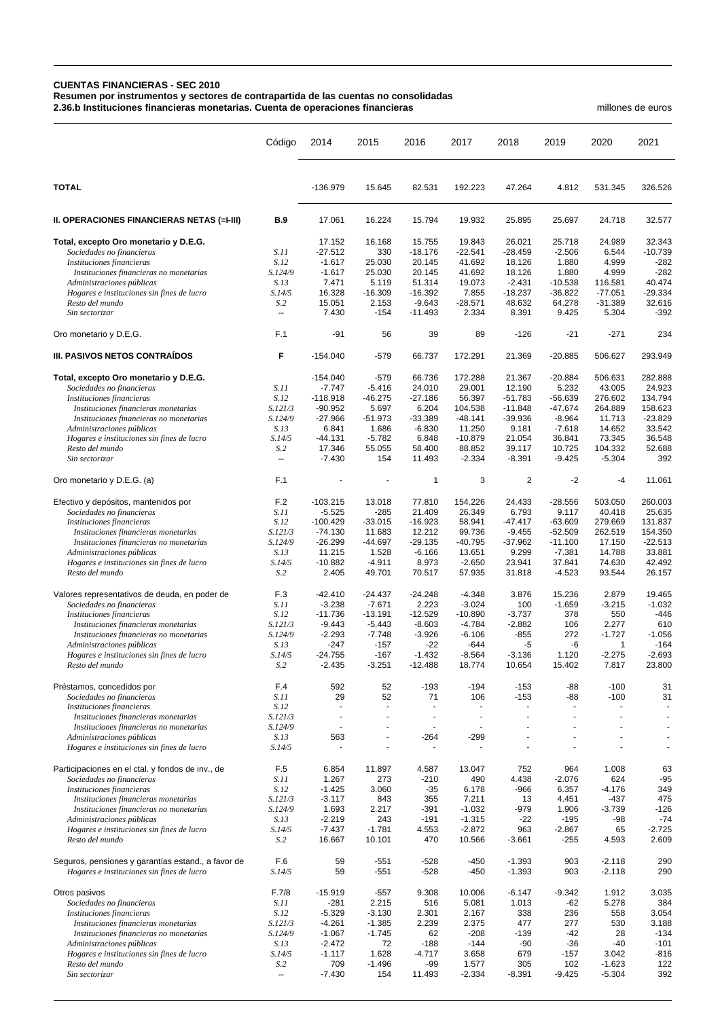## **CUENTAS FINANCIERAS - SEC 2010**

**Resumen por instrumentos y sectores de contrapartida de las cuentas no consolidadas**

**2.36.b Instituciones financieras monetarias. Cuenta de operaciones financieras** millones de euros

|                                                                                                  | Código             | 2014                     | 2015                       | 2016                     | 2017                       | 2018                  | 2019                   | 2020                     | 2021                |
|--------------------------------------------------------------------------------------------------|--------------------|--------------------------|----------------------------|--------------------------|----------------------------|-----------------------|------------------------|--------------------------|---------------------|
| <b>TOTAL</b>                                                                                     |                    | $-136.979$               | 15.645                     | 82.531                   | 192.223                    | 47.264                | 4.812                  | 531.345                  | 326.526             |
| II. OPERACIONES FINANCIERAS NETAS (=I-III)                                                       | <b>B.9</b>         | 17.061                   | 16.224                     | 15.794                   | 19.932                     | 25.895                | 25.697                 | 24.718                   | 32.577              |
| Total, excepto Oro monetario y D.E.G.                                                            |                    | 17.152                   | 16.168                     | 15.755                   | 19.843                     | 26.021                | 25.718                 | 24.989                   | 32.343              |
| Sociedades no financieras                                                                        | S.11               | $-27.512$                | 330                        | $-18.176$                | $-22.541$                  | $-28.459$             | $-2.506$               | 6.544                    | $-10.739$           |
| Instituciones financieras                                                                        | S.12               | $-1.617$                 | 25.030                     | 20.145                   | 41.692                     | 18.126                | 1.880                  | 4.999                    | $-282$              |
| Instituciones financieras no monetarias                                                          | S.124/9            | $-1.617$                 | 25.030                     | 20.145                   | 41.692                     | 18.126                | 1.880                  | 4.999                    | $-282$              |
| Administraciones públicas                                                                        | S.13               | 7.471                    | 5.119                      | 51.314                   | 19.073                     | $-2.431$              | $-10.538$              | 116.581                  | 40.474              |
| Hogares e instituciones sin fines de lucro                                                       | S.14/5<br>S.2      | 16.328<br>15.051         | $-16.309$<br>2.153         | $-16.392$<br>$-9.643$    | 7.855<br>$-28.571$         | $-18.237$<br>48.632   | $-36.822$<br>64.278    | $-77.051$<br>$-31.389$   | $-29.334$<br>32.616 |
| Resto del mundo<br>Sin sectorizar                                                                | Ξ.                 | 7.430                    | $-154$                     | $-11.493$                | 2.334                      | 8.391                 | 9.425                  | 5.304                    | $-392$              |
| Oro monetario y D.E.G.                                                                           | F.1                | $-91$                    | 56                         | 39                       | 89                         | $-126$                | $-21$                  | $-271$                   | 234                 |
| III. PASIVOS NETOS CONTRAÍDOS                                                                    | F                  | $-154.040$               | $-579$                     | 66.737                   | 172.291                    | 21.369                | $-20.885$              | 506.627                  | 293.949             |
| Total, excepto Oro monetario y D.E.G.                                                            |                    | $-154.040$               | $-579$                     | 66.736                   | 172.288                    | 21.367                | $-20.884$              | 506.631                  | 282.888             |
| Sociedades no financieras                                                                        | S.11               | $-7.747$                 | $-5.416$                   | 24.010                   | 29.001                     | 12.190                | 5.232                  | 43.005                   | 24.923              |
| Instituciones financieras                                                                        | S.12               | $-118.918$               | $-46.275$                  | $-27.186$                | 56.397                     | $-51.783$             | $-56.639$              | 276.602                  | 134.794             |
| Instituciones financieras monetarias                                                             | S.121/3            | $-90.952$                | 5.697                      | 6.204                    | 104.538                    | $-11.848$             | $-47.674$              | 264.889                  | 158.623             |
| Instituciones financieras no monetarias                                                          | S.124/9            | $-27.966$                | $-51.973$                  | $-33.389$                | $-48.141$                  | $-39.936$             | $-8.964$               | 11.713                   | $-23.829$           |
| Administraciones públicas<br>Hogares e instituciones sin fines de lucro                          | S.13<br>S.14/5     | 6.841<br>$-44.131$       | 1.686<br>$-5.782$          | $-6.830$<br>6.848        | 11.250<br>$-10.879$        | 9.181<br>21.054       | $-7.618$<br>36.841     | 14.652<br>73.345         | 33.542<br>36.548    |
| Resto del mundo                                                                                  | S.2                | 17.346                   | 55.055                     | 58.400                   | 88.852                     | 39.117                | 10.725                 | 104.332                  | 52.688              |
| Sin sectorizar                                                                                   | $\sim$ $\sim$      | $-7.430$                 | 154                        | 11.493                   | $-2.334$                   | $-8.391$              | $-9.425$               | $-5.304$                 | 392                 |
| Oro monetario y D.E.G. (a)                                                                       | F.1                |                          |                            | $\mathbf{1}$             | 3                          | $\overline{2}$        | $-2$                   | $-4$                     | 11.061              |
| Efectivo y depósitos, mantenidos por                                                             | F.2                | $-103.215$               | 13.018                     | 77.810                   | 154.226                    | 24.433                | $-28.556$              | 503.050                  | 260.003             |
| Sociedades no financieras                                                                        | S.11               | $-5.525$                 | $-285$                     | 21.409                   | 26.349                     | 6.793                 | 9.117                  | 40.418                   | 25.635              |
| Instituciones financieras<br>Instituciones financieras monetarias                                | S.12<br>S.121/3    | -100.429<br>$-74.130$    | $-33.015$<br>11.683        | $-16.923$<br>12.212      | 58.941<br>99.736           | $-47.417$<br>$-9.455$ | $-63.609$<br>$-52.509$ | 279.669<br>262.519       | 131.837<br>154.350  |
| Instituciones financieras no monetarias                                                          | S.124/9            | $-26.299$                | $-44.697$                  | $-29.135$                | $-40.795$                  | $-37.962$             | $-11.100$              | 17.150                   | $-22.513$           |
| Administraciones públicas                                                                        | S.13               | 11.215                   | 1.528                      | $-6.166$                 | 13.651                     | 9.299                 | $-7.381$               | 14.788                   | 33.881              |
| Hogares e instituciones sin fines de lucro                                                       | S.14/5             | $-10.882$                | $-4.911$                   | 8.973                    | $-2.650$                   | 23.941                | 37.841                 | 74.630                   | 42.492              |
| Resto del mundo                                                                                  | S <sub>0</sub>     | 2.405                    | 49.701                     | 70.517                   | 57.935                     | 31.818                | $-4.523$               | 93.544                   | 26.157              |
| Valores representativos de deuda, en poder de                                                    | F.3                | $-42.410$                | $-24.437$                  | $-24.248$                | $-4.348$                   | 3.876                 | 15.236                 | 2.879                    | 19.465              |
| Sociedades no financieras                                                                        | S.11               | $-3.238$                 | $-7.671$                   | 2.223                    | $-3.024$                   | 100                   | $-1.659$               | $-3.215$                 | $-1.032$            |
| Instituciones financieras                                                                        | S.12               | $-11.736$                | $-13.191$                  | $-12.529$                | $-10.890$                  | $-3.737$              | 378                    | 550                      | $-446$              |
| Instituciones financieras monetarias                                                             | S.121/3            | $-9.443$                 | $-5.443$                   | $-8.603$                 | $-4.784$                   | $-2.882$              | 106                    | 2.277                    | 610                 |
| Instituciones financieras no monetarias<br>Administraciones públicas                             | S.124/9<br>S.13    | $-2.293$<br>$-247$       | $-7.748$<br>$-157$         | $-3.926$<br>$-22$        | $-6.106$<br>$-644$         | -855<br>-5            | 272<br>-6              | $-1.727$<br>$\mathbf{1}$ | $-1.056$<br>$-164$  |
| Hogares e instituciones sin fines de lucro                                                       | S.14/5             | $-24.755$                | $-167$                     | $-1.432$                 | $-8.564$                   | $-3.136$              | 1.120                  | $-2.275$                 | $-2.693$            |
| Resto del mundo                                                                                  | S.2                | $-2.435$                 | $-3.251$                   | $-12.488$                | 18.774                     | 10.654                | 15.402                 | 7.817                    | 23.800              |
| Préstamos, concedidos por                                                                        | F.4                | 592                      | 52                         | $-193$                   | $-194$                     | $-153$                | -88                    | $-100$                   | 31                  |
| Sociedades no financieras                                                                        | S.11               | 29                       | 52                         | 71                       | 106                        | $-153$                | -88                    | $-100$                   | 31                  |
| Instituciones financieras                                                                        | S.12               | $\sim$                   | $\sim$                     | $\blacksquare$           | ÷,                         | ٠                     | ä,                     | $\ddot{\phantom{1}}$     |                     |
| Instituciones financieras monetarias                                                             | S.121/3<br>S.124/9 | $\overline{a}$<br>$\sim$ | $\ddot{\phantom{1}}$<br>ä, | $\blacksquare$<br>ä,     | $\ddot{\phantom{1}}$<br>÷, |                       | $\ddot{\phantom{1}}$   |                          | $\overline{a}$      |
| Instituciones financieras no monetarias<br>Administraciones públicas                             | S.13               | 563                      | $\blacksquare$             | $-264$                   | $-299$                     |                       | $\ddot{\phantom{1}}$   |                          | $\overline{a}$      |
| Hogares e instituciones sin fines de lucro                                                       | S.14/5             |                          | ä,                         | $\overline{\phantom{a}}$ |                            |                       | $\ddot{\phantom{1}}$   |                          |                     |
| Participaciones en el ctal. y fondos de inv., de                                                 | F.5                | 6.854                    | 11.897                     | 4.587                    | 13.047                     | 752                   | 964                    | 1.008                    | 63                  |
| Sociedades no financieras                                                                        | S.11               | 1.267                    | 273                        | $-210$                   | 490                        | 4.438                 | $-2.076$               | 624                      | $-95$               |
| Instituciones financieras                                                                        | S.12               | $-1.425$                 | 3.060                      | $-35$                    | 6.178                      | $-966$                | 6.357                  | $-4.176$                 | 349                 |
| Instituciones financieras monetarias                                                             | S.121/3            | $-3.117$                 | 843                        | 355                      | 7.211                      | 13                    | 4.451                  | $-437$                   | 475                 |
| Instituciones financieras no monetarias                                                          | S.124/9            | 1.693                    | 2.217                      | $-391$                   | $-1.032$                   | $-979$                | 1.906                  | $-3.739$                 | $-126$              |
| Administraciones públicas                                                                        | S.13<br>S.14/5     | $-2.219$<br>$-7.437$     | 243<br>$-1.781$            | $-191$<br>4.553          | $-1.315$<br>$-2.872$       | $-22$<br>963          | $-195$<br>$-2.867$     | -98                      | $-74$<br>$-2.725$   |
| Hogares e instituciones sin fines de lucro<br>Resto del mundo                                    | S <sub>2</sub>     | 16.667                   | 10.101                     | 470                      | 10.566                     | $-3.661$              | $-255$                 | 65<br>4.593              | 2.609               |
| Seguros, pensiones y garantías estand., a favor de<br>Hogares e instituciones sin fines de lucro | F.6<br>S.14/5      | 59<br>59                 | $-551$<br>$-551$           | $-528$<br>$-528$         | $-450$<br>$-450$           | $-1.393$<br>$-1.393$  | 903<br>903             | $-2.118$<br>$-2.118$     | 290<br>290          |
| Otros pasivos                                                                                    | F.7/8              | $-15.919$                | $-557$                     | 9.308                    | 10.006                     | $-6.147$              | $-9.342$               | 1.912                    | 3.035               |
| Sociedades no financieras                                                                        | <i>S.11</i>        | $-281$                   | 2.215                      | 516                      | 5.081                      | 1.013                 | $-62$                  | 5.278                    | 384                 |
| Instituciones financieras                                                                        | S.12               | $-5.329$                 | $-3.130$                   | 2.301                    | 2.167                      | 338                   | 236                    | 558                      | 3.054               |
| Instituciones financieras monetarias                                                             | S.121/3            | $-4.261$                 | $-1.385$                   | 2.239                    | 2.375                      | 477                   | 277                    | 530                      | 3.188               |
| Instituciones financieras no monetarias                                                          | S.124/9            | $-1.067$                 | $-1.745$                   | 62                       | $-208$                     | $-139$                | $-42$                  | 28                       | $-134$              |
| Administraciones públicas                                                                        | S.13               | $-2.472$                 | 72                         | $-188$                   | $-144$                     | $-90$                 | $-36$                  | $-40$                    | $-101$              |
| Hogares e instituciones sin fines de lucro                                                       | S.14/5             | $-1.117$                 | 1.628                      | $-4.717$<br>$-99$        | 3.658                      | 679                   | $-157$                 | 3.042                    | $-816$              |
| Resto del mundo<br>Sin sectorizar                                                                | S.2<br>$\ldots$    | 709<br>$-7.430$          | $-1.496$<br>154            | 11.493                   | 1.577<br>$-2.334$          | 305<br>$-8.391$       | 102<br>$-9.425$        | $-1.623$<br>$-5.304$     | 122<br>392          |